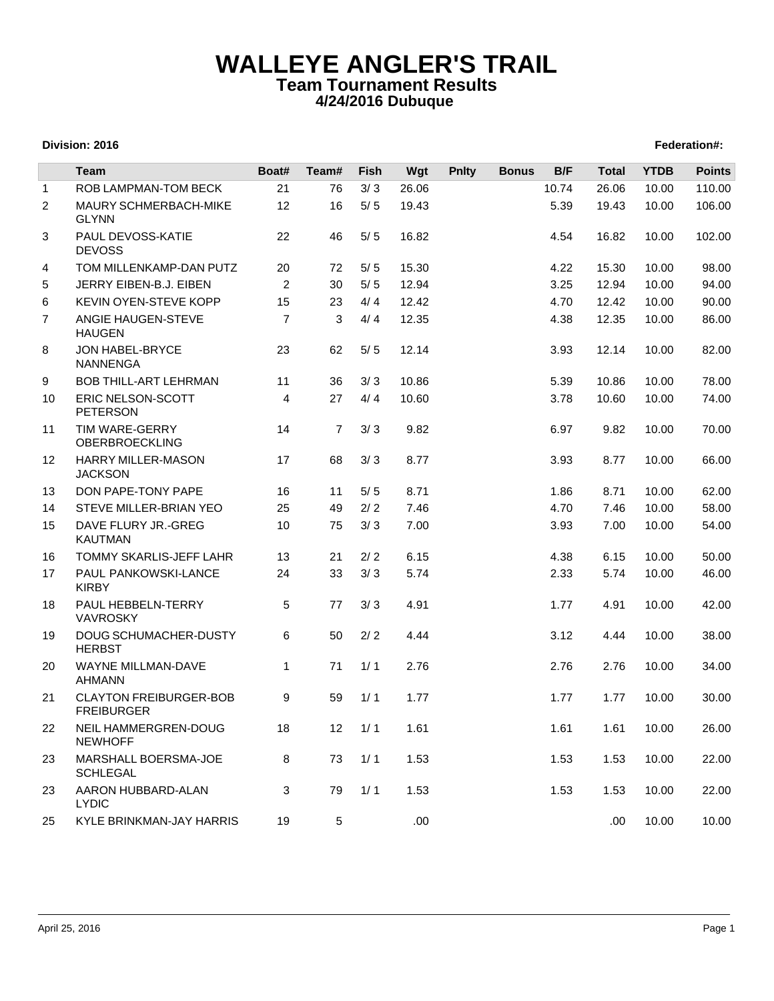## **WALLEYE ANGLER'S TRAIL Team Tournament Results 4/24/2016 Dubuque**

## **Division: 2016 Federation#:**

|                | <b>Team</b>                                        | Boat#          | Team#          | <b>Fish</b> | Wgt   | <b>Pnlty</b> | <b>Bonus</b> | B/F   | <b>Total</b> | <b>YTDB</b> | <b>Points</b> |
|----------------|----------------------------------------------------|----------------|----------------|-------------|-------|--------------|--------------|-------|--------------|-------------|---------------|
| $\mathbf{1}$   | <b>ROB LAMPMAN-TOM BECK</b>                        | 21             | 76             | 3/3         | 26.06 |              |              | 10.74 | 26.06        | 10.00       | 110.00        |
| $\overline{2}$ | <b>MAURY SCHMERBACH-MIKE</b><br><b>GLYNN</b>       | 12             | 16             | $5/5$       | 19.43 |              |              | 5.39  | 19.43        | 10.00       | 106.00        |
| 3              | PAUL DEVOSS-KATIE<br><b>DEVOSS</b>                 | 22             | 46             | $5/5$       | 16.82 |              |              | 4.54  | 16.82        | 10.00       | 102.00        |
| 4              | TOM MILLENKAMP-DAN PUTZ                            | 20             | 72             | $5/5$       | 15.30 |              |              | 4.22  | 15.30        | 10.00       | 98.00         |
| 5              | JERRY EIBEN-B.J. EIBEN                             | 2              | 30             | $5/5$       | 12.94 |              |              | 3.25  | 12.94        | 10.00       | 94.00         |
| 6              | KEVIN OYEN-STEVE KOPP                              | 15             | 23             | 4/4         | 12.42 |              |              | 4.70  | 12.42        | 10.00       | 90.00         |
| $\overline{7}$ | ANGIE HAUGEN-STEVE<br><b>HAUGEN</b>                | $\overline{7}$ | 3              | 4/4         | 12.35 |              |              | 4.38  | 12.35        | 10.00       | 86.00         |
| 8              | JON HABEL-BRYCE<br><b>NANNENGA</b>                 | 23             | 62             | 5/5         | 12.14 |              |              | 3.93  | 12.14        | 10.00       | 82.00         |
| 9              | <b>BOB THILL-ART LEHRMAN</b>                       | 11             | 36             | 3/3         | 10.86 |              |              | 5.39  | 10.86        | 10.00       | 78.00         |
| 10             | ERIC NELSON-SCOTT<br><b>PETERSON</b>               | 4              | 27             | 4/4         | 10.60 |              |              | 3.78  | 10.60        | 10.00       | 74.00         |
| 11             | TIM WARE-GERRY<br><b>OBERBROECKLING</b>            | 14             | $\overline{7}$ | 3/3         | 9.82  |              |              | 6.97  | 9.82         | 10.00       | 70.00         |
| 12             | <b>HARRY MILLER-MASON</b><br><b>JACKSON</b>        | 17             | 68             | 3/3         | 8.77  |              |              | 3.93  | 8.77         | 10.00       | 66.00         |
| 13             | DON PAPE-TONY PAPE                                 | 16             | 11             | $5/5$       | 8.71  |              |              | 1.86  | 8.71         | 10.00       | 62.00         |
| 14             | STEVE MILLER-BRIAN YEO                             | 25             | 49             | 2/2         | 7.46  |              |              | 4.70  | 7.46         | 10.00       | 58.00         |
| 15             | DAVE FLURY JR.-GREG<br><b>KAUTMAN</b>              | 10             | 75             | 3/3         | 7.00  |              |              | 3.93  | 7.00         | 10.00       | 54.00         |
| 16             | <b>TOMMY SKARLIS-JEFF LAHR</b>                     | 13             | 21             | 2/2         | 6.15  |              |              | 4.38  | 6.15         | 10.00       | 50.00         |
| 17             | PAUL PANKOWSKI-LANCE<br><b>KIRBY</b>               | 24             | 33             | 3/3         | 5.74  |              |              | 2.33  | 5.74         | 10.00       | 46.00         |
| 18             | PAUL HEBBELN-TERRY<br><b>VAVROSKY</b>              | 5              | 77             | 3/3         | 4.91  |              |              | 1.77  | 4.91         | 10.00       | 42.00         |
| 19             | DOUG SCHUMACHER-DUSTY<br><b>HERBST</b>             | 6              | 50             | 2/2         | 4.44  |              |              | 3.12  | 4.44         | 10.00       | 38.00         |
| 20             | WAYNE MILLMAN-DAVE<br><b>AHMANN</b>                | 1              | 71             | 1/1         | 2.76  |              |              | 2.76  | 2.76         | 10.00       | 34.00         |
| 21             | <b>CLAYTON FREIBURGER-BOB</b><br><b>FREIBURGER</b> | 9              | 59             | 1/1         | 1.77  |              |              | 1.77  | 1.77         | 10.00       | 30.00         |
| 22             | NEIL HAMMERGREN-DOUG<br><b>NEWHOFF</b>             | 18             | 12             | 1/1         | 1.61  |              |              | 1.61  | 1.61         | 10.00       | 26.00         |
| 23             | MARSHALL BOERSMA-JOE<br><b>SCHLEGAL</b>            | 8              | 73             | 1/1         | 1.53  |              |              | 1.53  | 1.53         | 10.00       | 22.00         |
| 23             | AARON HUBBARD-ALAN<br><b>LYDIC</b>                 | 3              | 79             | 1/1         | 1.53  |              |              | 1.53  | 1.53         | 10.00       | 22.00         |
| 25             | KYLE BRINKMAN-JAY HARRIS                           | 19             | 5              |             | .00.  |              |              |       | .00          | 10.00       | 10.00         |